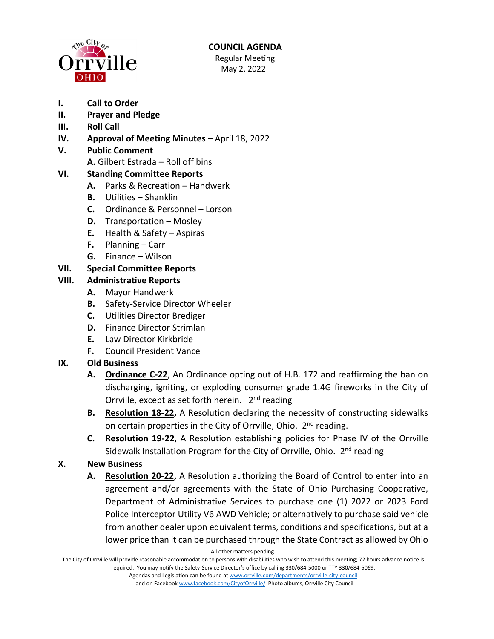

#### **COUNCIL AGENDA** Regular Meeting May 2, 2022

- **I. Call to Order**
- **II. Prayer and Pledge**
- **III. Roll Call**
- **IV. Approval of Meeting Minutes** April 18, 2022
- **V. Public Comment** 
	- **A.** Gilbert Estrada Roll off bins

## **VI. Standing Committee Reports**

- **A.** Parks & Recreation Handwerk
- **B.** Utilities Shanklin
- **C.** Ordinance & Personnel Lorson
- **D.** Transportation Mosley
- **E.** Health & Safety Aspiras
- **F.** Planning Carr
- **G.** Finance Wilson

## **VII. Special Committee Reports**

### **VIII. Administrative Reports**

- **A.** Mayor Handwerk
- **B.** Safety-Service Director Wheeler
- **C.** Utilities Director Brediger
- **D.** Finance Director Strimlan
- **E.** Law Director Kirkbride
- **F.** Council President Vance

# **IX. Old Business**

- **A. Ordinance C-22**, An Ordinance opting out of H.B. 172 and reaffirming the ban on discharging, igniting, or exploding consumer grade 1.4G fireworks in the City of Orrville, except as set forth herein. 2<sup>nd</sup> reading
- **B. Resolution 18-22,** A Resolution declaring the necessity of constructing sidewalks on certain properties in the City of Orrville, Ohio. 2<sup>nd</sup> reading.
- **C. Resolution 19-22**, A Resolution establishing policies for Phase IV of the Orrville Sidewalk Installation Program for the City of Orrville, Ohio. 2<sup>nd</sup> reading

# **X. New Business**

**A. Resolution 20-22,** A Resolution authorizing the Board of Control to enter into an agreement and/or agreements with the State of Ohio Purchasing Cooperative, Department of Administrative Services to purchase one (1) 2022 or 2023 Ford Police Interceptor Utility V6 AWD Vehicle; or alternatively to purchase said vehicle from another dealer upon equivalent terms, conditions and specifications, but at a lower price than it can be purchased through the State Contract as allowed by Ohio

All other matters pending.

The City of Orrville will provide reasonable accommodation to persons with disabilities who wish to attend this meeting; 72 hours advance notice is required. You may notify the Safety-Service Director's office by calling 330/684-5000 or TTY 330/684-5069.

> Agendas and Legislation can be found a[t www.orrville.com/departments/orrville-city-council](http://www.orrville.com/departments/orrville-city-council) and on Faceboo[k www.facebook.com/CityofOrrville/](http://www.facebook.com/CityofOrrville/) Photo albums, Orrville City Council